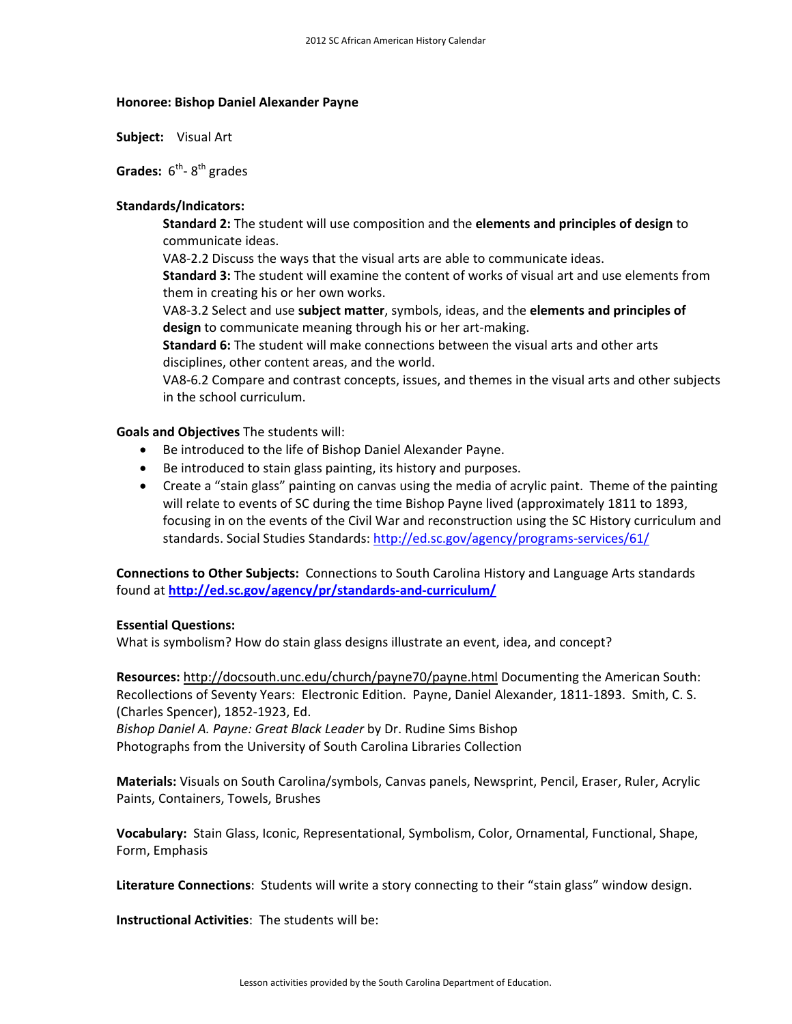## **Honoree: Bishop Daniel Alexander Payne**

**Subject:** Visual Art

**Grades:** 6<sup>th</sup>-8<sup>th</sup> grades

## **Standards/Indicators:**

**Standard 2:** The student will use composition and the **elements and principles of design** to communicate ideas.

VA8‐2.2 Discuss the ways that the visual arts are able to communicate ideas.

**Standard 3:** The student will examine the content of works of visual art and use elements from them in creating his or her own works.

VA8‐3.2 Select and use **subject matter**, symbols, ideas, and the **elements and principles of design** to communicate meaning through his or her art‐making.

**Standard 6:** The student will make connections between the visual arts and other arts disciplines, other content areas, and the world.

VA8‐6.2 Compare and contrast concepts, issues, and themes in the visual arts and other subjects in the school curriculum.

## **Goals and Objectives** The students will:

- Be introduced to the life of Bishop Daniel Alexander Payne.
- Be introduced to stain glass painting, its history and purposes.
- Create a "stain glass" painting on canvas using the media of acrylic paint. Theme of the painting will relate to events of SC during the time Bishop Payne lived (approximately 1811 to 1893, focusing in on the events of the Civil War and reconstruction using the SC History curriculum and standards. Social Studies Standards: http://ed.sc.gov/agency/programs-services/61/

**Connections to Other Subjects:** Connections to South Carolina History and Language Arts standards found at **http://ed.sc.gov/agency/pr/standards‐and‐curriculum/** 

## **Essential Questions:**

What is symbolism? How do stain glass designs illustrate an event, idea, and concept?

**Resources:** http://docsouth.unc.edu/church/payne70/payne.html Documenting the American South: Recollections of Seventy Years: Electronic Edition. Payne, Daniel Alexander, 1811‐1893. Smith, C. S. (Charles Spencer), 1852‐1923, Ed.

*Bishop Daniel A. Payne: Great Black Leader* by Dr. Rudine Sims Bishop Photographs from the University of South Carolina Libraries Collection

**Materials:** Visuals on South Carolina/symbols, Canvas panels, Newsprint, Pencil, Eraser, Ruler, Acrylic Paints, Containers, Towels, Brushes

**Vocabulary:** Stain Glass, Iconic, Representational, Symbolism, Color, Ornamental, Functional, Shape, Form, Emphasis

**Literature Connections**: Students will write a story connecting to their "stain glass" window design.

**Instructional Activities**: The students will be: